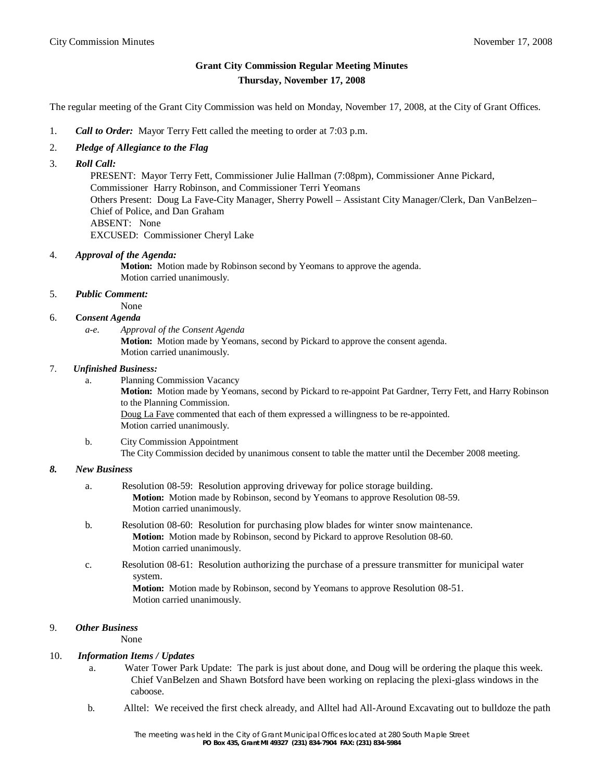# **Grant City Commission Regular Meeting Minutes Thursday, November 17, 2008**

The regular meeting of the Grant City Commission was held on Monday, November 17, 2008, at the City of Grant Offices.

- 1. *Call to Order:* Mayor Terry Fett called the meeting to order at 7:03 p.m.
- 2. *Pledge of Allegiance to the Flag*
- 3. *Roll Call:*

 PRESENT: Mayor Terry Fett, Commissioner Julie Hallman (7:08pm), Commissioner Anne Pickard, Commissioner Harry Robinson, and Commissioner Terri Yeomans Others Present: Doug La Fave-City Manager, Sherry Powell – Assistant City Manager/Clerk, Dan VanBelzen– Chief of Police, and Dan Graham ABSENT: None EXCUSED: Commissioner Cheryl Lake

#### 4. *Approval of the Agenda:*

**Motion:** Motion made by Robinson second by Yeomans to approve the agenda. Motion carried unanimously.

### 5. *Public Comment:*

None

### 6. **C***onsent Agenda*

*a-e. Approval of the Consent Agenda* **Motion:** Motion made by Yeomans, second by Pickard to approve the consent agenda. Motion carried unanimously.

### 7. *Unfinished Business:*

- a. Planning Commission Vacancy **Motion:** Motion made by Yeomans, second by Pickard to re-appoint Pat Gardner, Terry Fett, and Harry Robinson to the Planning Commission. Doug La Fave commented that each of them expressed a willingness to be re-appointed. Motion carried unanimously.
- b. City Commission Appointment The City Commission decided by unanimous consent to table the matter until the December 2008 meeting.

#### *8. New Business*

- a. Resolution 08-59: Resolution approving driveway for police storage building. **Motion:** Motion made by Robinson, second by Yeomans to approve Resolution 08-59. Motion carried unanimously.
- b. Resolution 08-60: Resolution for purchasing plow blades for winter snow maintenance. **Motion:** Motion made by Robinson, second by Pickard to approve Resolution 08-60. Motion carried unanimously.
- c. Resolution 08-61: Resolution authorizing the purchase of a pressure transmitter for municipal water system.

**Motion:** Motion made by Robinson, second by Yeomans to approve Resolution 08-51. Motion carried unanimously.

## 9. *Other Business*

None

#### 10. *Information Items / Updates*

- a. Water Tower Park Update: The park is just about done, and Doug will be ordering the plaque this week. Chief VanBelzen and Shawn Botsford have been working on replacing the plexi-glass windows in the caboose.
- b. Alltel: We received the first check already, and Alltel had All-Around Excavating out to bulldoze the path